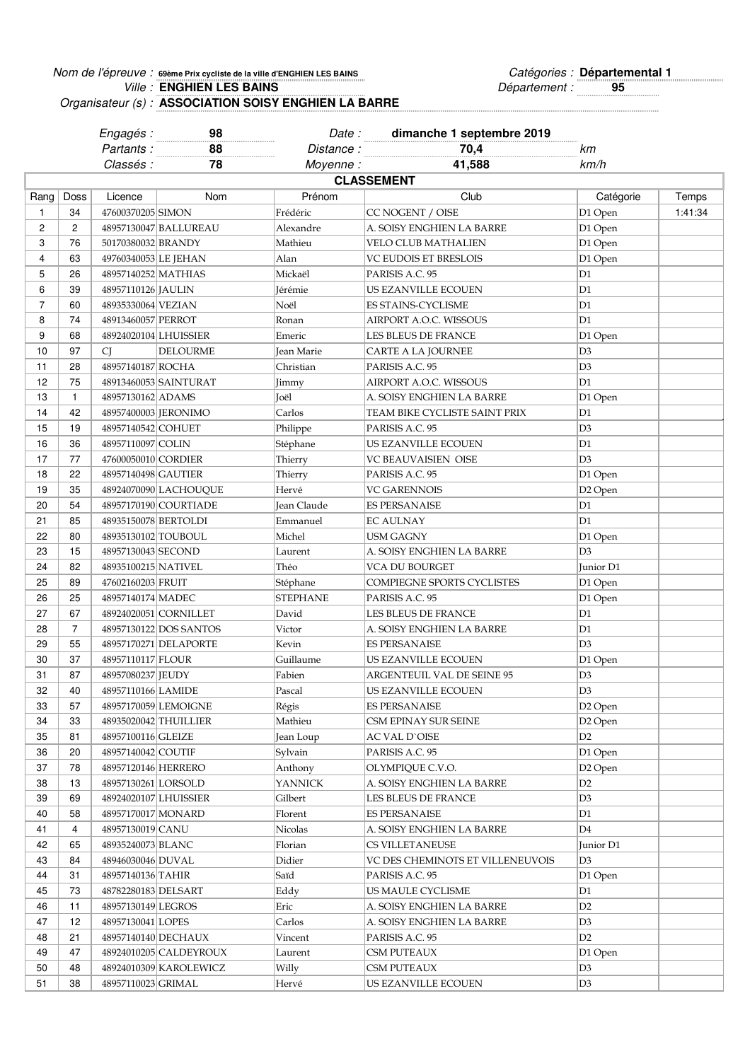## Nom de l'épreuve : seème Prix cycliste de la ville d'ENGHIEN LES BAINS **De la comme de la comme de la comme de l** Ville : **ENGHIEN LES BAINS CONSTRUSTED SETTING SETTING SETTING SETTING SETTING SETTING SETTING SETTING SETTING SETTING SETTING SETTING SETTING SETTING SETTING SETTING SETTING SETTING SETTING SETTING SETTING SETTING SETTI** *Ville*: **ENGHIEN LES BAINS**

Organisateur (s) : **ASSOCIATION SOISY ENGHIEN LA BARRE**

|      |                   | Engagés :             | 98                     | Date:             | dimanche 1 septembre 2019        |                     |         |
|------|-------------------|-----------------------|------------------------|-------------------|----------------------------------|---------------------|---------|
|      |                   | Partants:             | 88                     | Distance:         | 70,4                             | kт                  |         |
|      |                   | Classés :             | 78                     | Moyenne:          | 41,588                           | km/h                |         |
|      | <b>CLASSEMENT</b> |                       |                        |                   |                                  |                     |         |
| Rang | Doss              | Licence               | Nom                    | Prénom            | Club                             | Catégorie           | Temps   |
| 1    | 34                | 47600370205 SIMON     |                        | Frédéric          | CC NOGENT / OISE                 | D1 Open             | 1:41:34 |
| 2    | $\overline{2}$    |                       | 48957130047 BALLUREAU  | Alexandre         | A. SOISY ENGHIEN LA BARRE        | D1 Open             |         |
| 3    | 76                | 50170380032 BRANDY    |                        | Mathieu           | VELO CLUB MATHALIEN              | D1 Open             |         |
| 4    | 63                | 49760340053 LE JEHAN  |                        | Alan              | VC EUDOIS ET BRESLOIS            | D1 Open             |         |
| 5    | 26                | 48957140252 MATHIAS   |                        | Mickaël           | PARISIS A.C. 95                  | D1                  |         |
| 6    | 39                | 48957110126 JAULIN    |                        | Jérémie           | US EZANVILLE ECOUEN              | D1                  |         |
| 7    | 60                | 48935330064 VEZIAN    |                        | Noël              | ES STAINS-CYCLISME               | D1                  |         |
| 8    | 74                | 48913460057 PERROT    |                        | Ronan             | AIRPORT A.O.C. WISSOUS           | D1                  |         |
| 9    | 68                | 48924020104 LHUISSIER |                        | Emeric            | LES BLEUS DE FRANCE              | D1 Open             |         |
| 10   | 97                | <b>CJ</b>             | DELOURME               | <b>Jean Marie</b> | CARTE A LA JOURNEE               | D3                  |         |
| 11   | 28                | 48957140187 ROCHA     |                        | Christian         | PARISIS A.C. 95                  | D <sub>3</sub>      |         |
| 12   | 75                |                       | 48913460053 SAINTURAT  | Jimmy             | AIRPORT A.O.C. WISSOUS           | D1                  |         |
| 13   | 1                 | 48957130162 ADAMS     |                        | Joël              | A. SOISY ENGHIEN LA BARRE        | D1 Open             |         |
| 14   | 42                | 48957400003 [JERONIMO |                        | Carlos            | TEAM BIKE CYCLISTE SAINT PRIX    | D1                  |         |
| 15   | 19                | 48957140542 COHUET    |                        | Philippe          | PARISIS A.C. 95                  | D <sub>3</sub>      |         |
| 16   | 36                | 48957110097 COLIN     |                        | Stéphane          | US EZANVILLE ECOUEN              | D1                  |         |
| 17   | 77                | 47600050010 CORDIER   |                        | Thierry           | VC BEAUVAISIEN OISE              | D <sub>3</sub>      |         |
| 18   | 22                | 48957140498 GAUTIER   |                        | Thierry           | PARISIS A.C. 95                  | D1 Open             |         |
| 19   |                   |                       |                        |                   |                                  |                     |         |
| 20   | 35<br>54          |                       | 48924070090 LACHOUQUE  | Hervé             | VC GARENNOIS                     | D <sub>2</sub> Open |         |
|      |                   |                       | 48957170190 COURTIADE  | Jean Claude       | <b>ES PERSANAISE</b>             | D1                  |         |
| 21   | 85                | 48935150078 BERTOLDI  |                        | Emmanuel          | <b>EC AULNAY</b>                 | D1                  |         |
| 22   | 80                | 48935130102 TOUBOUL   |                        | Michel            | USM GAGNY                        | D1 Open             |         |
| 23   | 15                | 48957130043 SECOND    |                        | Laurent           | A. SOISY ENGHIEN LA BARRE        | D3                  |         |
| 24   | 82                | 48935100215 NATIVEL   |                        | Théo              | VCA DU BOURGET                   | Junior D1           |         |
| 25   | 89                | 47602160203 FRUIT     |                        | Stéphane          | COMPIEGNE SPORTS CYCLISTES       | D1 Open             |         |
| 26   | 25                | 48957140174 MADEC     |                        | <b>STEPHANE</b>   | PARISIS A.C. 95                  | D1 Open             |         |
| 27   | 67                |                       | 48924020051 CORNILLET  | David             | LES BLEUS DE FRANCE              | D1                  |         |
| 28   | $\overline{7}$    |                       | 48957130122 DOS SANTOS | Victor            | A. SOISY ENGHIEN LA BARRE        | D1                  |         |
| 29   | 55                |                       | 48957170271 DELAPORTE  | Kevin             | <b>ES PERSANAISE</b>             | D <sub>3</sub>      |         |
| 30   | 37                | 48957110117 FLOUR     |                        | Guillaume         | US EZANVILLE ECOUEN              | D1 Open             |         |
| 31   | 87                | 48957080237 JEUDY     |                        | Fabien            | ARGENTEUIL VAL DE SEINE 95       | D3                  |         |
| 32   | 40                | 48957110166 LAMIDE    |                        | Pascal            | US EZANVILLE ECOUEN              | D <sub>3</sub>      |         |
| 33   | 57                |                       | 48957170059 LEMOIGNE   | Régis             | ES PERSANAISE                    | D <sub>2</sub> Open |         |
| 34   | 33                |                       | 48935020042 THUILLIER  | Mathieu           | CSM EPINAY SUR SEINE             | D <sub>2</sub> Open |         |
| 35   | 81                | 48957100116 GLEIZE    |                        | Jean Loup         | AC VAL D`OISE                    | D2                  |         |
| 36   | 20                | 48957140042 COUTIF    |                        | Sylvain           | PARISIS A.C. 95                  | D1 Open             |         |
| 37   | 78                | 48957120146 HERRERO   |                        | Anthony           | OLYMPIQUE C.V.O.                 | D <sub>2</sub> Open |         |
| 38   | 13                | 48957130261 LORSOLD   |                        | <b>YANNICK</b>    | A. SOISY ENGHIEN LA BARRE        | D2                  |         |
| 39   | 69                | 48924020107 LHUISSIER |                        | Gilbert           | LES BLEUS DE FRANCE              | D3                  |         |
| 40   | 58                | 48957170017 MONARD    |                        | Florent           | <b>ES PERSANAISE</b>             | D1                  |         |
| 41   | 4                 | 48957130019 CANU      |                        | Nicolas           | A. SOISY ENGHIEN LA BARRE        | D4                  |         |
| 42   | 65                | 48935240073 BLANC     |                        | Florian           | CS VILLETANEUSE                  | Junior D1           |         |
| 43   | 84                | 48946030046 DUVAL     |                        | Didier            | VC DES CHEMINOTS ET VILLENEUVOIS | D3                  |         |
| 44   | 31                | 48957140136 TAHIR     |                        | Saïd              | PARISIS A.C. 95                  | D1 Open             |         |
| 45   | 73                | 48782280183 DELSART   |                        | Eddy              | US MAULE CYCLISME                | D1                  |         |
| 46   | 11                | 48957130149 LEGROS    |                        | Eric              | A. SOISY ENGHIEN LA BARRE        | D2                  |         |
| 47   | 12                | 48957130041 LOPES     |                        | Carlos            | A. SOISY ENGHIEN LA BARRE        | D3                  |         |
| 48   | 21                |                       | 48957140140 DECHAUX    | Vincent           | PARISIS A.C. 95                  | D <sub>2</sub>      |         |
| 49   | 47                |                       | 48924010205 CALDEYROUX | Laurent           | CSM PUTEAUX                      | D1 Open             |         |
| 50   | 48                |                       | 48924010309 KAROLEWICZ | Willy             | CSM PUTEAUX                      | D3                  |         |
| 51   | 38                | 48957110023 GRIMAL    |                        | Hervé             | US EZANVILLE ECOUEN              | D <sub>3</sub>      |         |
|      |                   |                       |                        |                   |                                  |                     |         |